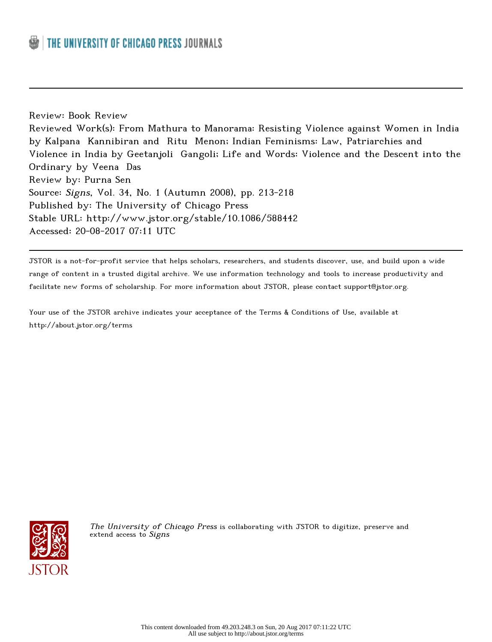Review: Book Review Reviewed Work(s): From Mathura to Manorama: Resisting Violence against Women in India by Kalpana Kannibiran and Ritu Menon; Indian Feminisms: Law, Patriarchies and Violence in India by Geetanjoli Gangoli; Life and Words: Violence and the Descent into the Ordinary by Veena Das Review by: Purna Sen Source: Signs, Vol. 34, No. 1 (Autumn 2008), pp. 213-218 Published by: The University of Chicago Press Stable URL: http://www.jstor.org/stable/10.1086/588442 Accessed: 20-08-2017 07:11 UTC

JSTOR is a not-for-profit service that helps scholars, researchers, and students discover, use, and build upon a wide range of content in a trusted digital archive. We use information technology and tools to increase productivity and facilitate new forms of scholarship. For more information about JSTOR, please contact support@jstor.org.

Your use of the JSTOR archive indicates your acceptance of the Terms & Conditions of Use, available at http://about.jstor.org/terms



The University of Chicago Press is collaborating with JSTOR to digitize, preserve and extend access to Signs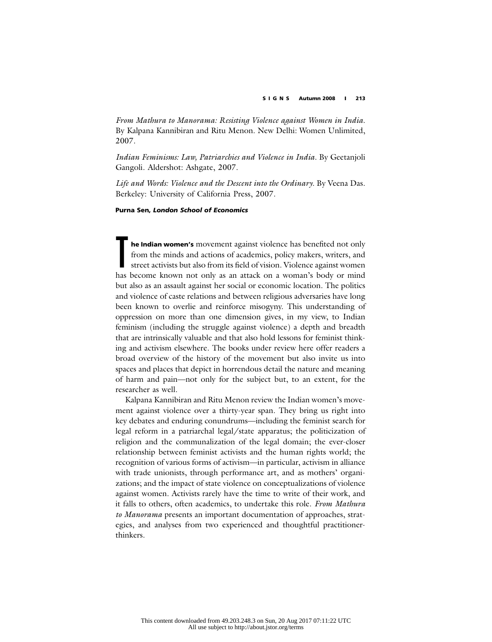*From Mathura to Manorama: Resisting Violence against Women in India*. By Kalpana Kannibiran and Ritu Menon. New Delhi: Women Unlimited, 2007.

*Indian Feminisms: Law, Patriarchies and Violence in India*. By Geetanjoli Gangoli. Aldershot: Ashgate, 2007.

*Life and Words: Violence and the Descent into the Ordinary*. By Veena Das. Berkeley: University of California Press, 2007.

# **Purna Sen,** *London School of Economics*

**he Indian women's** movement against violence has benefited not only from the minds and actions of academics, policy makers, writers, and street activists but also from its field of vision. Violence against women has becom **he Indian women's** movement against violence has benefited not only from the minds and actions of academics, policy makers, writers, and street activists but also from its field of vision. Violence against women but also as an assault against her social or economic location. The politics and violence of caste relations and between religious adversaries have long been known to overlie and reinforce misogyny. This understanding of oppression on more than one dimension gives, in my view, to Indian feminism (including the struggle against violence) a depth and breadth that are intrinsically valuable and that also hold lessons for feminist thinking and activism elsewhere. The books under review here offer readers a broad overview of the history of the movement but also invite us into spaces and places that depict in horrendous detail the nature and meaning of harm and pain—not only for the subject but, to an extent, for the researcher as well.

Kalpana Kannibiran and Ritu Menon review the Indian women's movement against violence over a thirty-year span. They bring us right into key debates and enduring conundrums—including the feminist search for legal reform in a patriarchal legal/state apparatus; the politicization of religion and the communalization of the legal domain; the ever-closer relationship between feminist activists and the human rights world; the recognition of various forms of activism—in particular, activism in alliance with trade unionists, through performance art, and as mothers' organizations; and the impact of state violence on conceptualizations of violence against women. Activists rarely have the time to write of their work, and it falls to others, often academics, to undertake this role. *From Mathura to Manorama* presents an important documentation of approaches, strategies, and analyses from two experienced and thoughtful practitionerthinkers.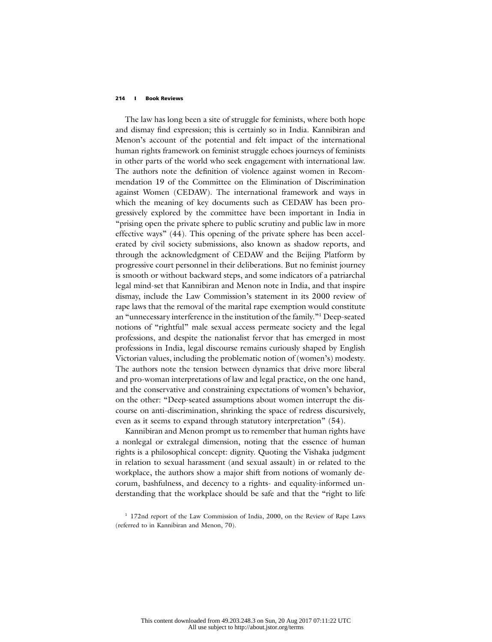### **214** ❙ **Book Reviews**

The law has long been a site of struggle for feminists, where both hope and dismay find expression; this is certainly so in India. Kannibiran and Menon's account of the potential and felt impact of the international human rights framework on feminist struggle echoes journeys of feminists in other parts of the world who seek engagement with international law. The authors note the definition of violence against women in Recommendation 19 of the Committee on the Elimination of Discrimination against Women (CEDAW). The international framework and ways in which the meaning of key documents such as CEDAW has been progressively explored by the committee have been important in India in "prising open the private sphere to public scrutiny and public law in more effective ways" (44). This opening of the private sphere has been accelerated by civil society submissions, also known as shadow reports, and through the acknowledgment of CEDAW and the Beijing Platform by progressive court personnel in their deliberations. But no feminist journey is smooth or without backward steps, and some indicators of a patriarchal legal mind-set that Kannibiran and Menon note in India, and that inspire dismay, include the Law Commission's statement in its 2000 review of rape laws that the removal of the marital rape exemption would constitute an "unnecessary interference in the institution of the family."<sup>1</sup> Deep-seated notions of "rightful" male sexual access permeate society and the legal professions, and despite the nationalist fervor that has emerged in most professions in India, legal discourse remains curiously shaped by English Victorian values, including the problematic notion of (women's) modesty. The authors note the tension between dynamics that drive more liberal and pro-woman interpretations of law and legal practice, on the one hand, and the conservative and constraining expectations of women's behavior, on the other: "Deep-seated assumptions about women interrupt the discourse on anti-discrimination, shrinking the space of redress discursively, even as it seems to expand through statutory interpretation" (54).

Kannibiran and Menon prompt us to remember that human rights have a nonlegal or extralegal dimension, noting that the essence of human rights is a philosophical concept: dignity. Quoting the Vishaka judgment in relation to sexual harassment (and sexual assault) in or related to the workplace, the authors show a major shift from notions of womanly decorum, bashfulness, and decency to a rights- and equality-informed understanding that the workplace should be safe and that the "right to life

<sup>&</sup>lt;sup>1</sup> 172nd report of the Law Commission of India, 2000, on the Review of Rape Laws (referred to in Kannibiran and Menon, 70).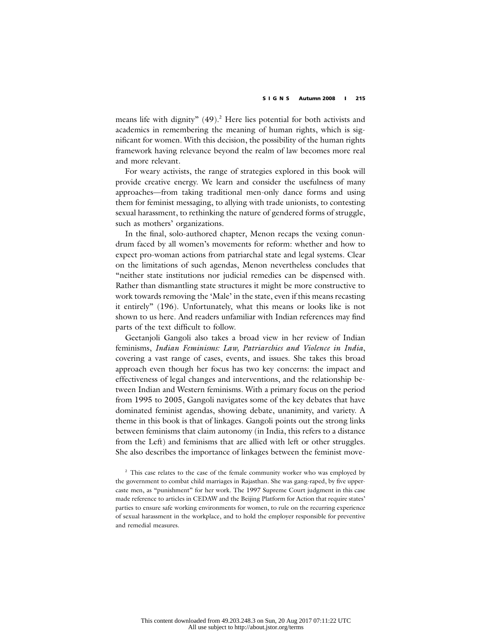means life with dignity" (49).<sup>2</sup> Here lies potential for both activists and academics in remembering the meaning of human rights, which is significant for women. With this decision, the possibility of the human rights framework having relevance beyond the realm of law becomes more real and more relevant.

For weary activists, the range of strategies explored in this book will provide creative energy. We learn and consider the usefulness of many approaches—from taking traditional men-only dance forms and using them for feminist messaging, to allying with trade unionists, to contesting sexual harassment, to rethinking the nature of gendered forms of struggle, such as mothers' organizations.

In the final, solo-authored chapter, Menon recaps the vexing conundrum faced by all women's movements for reform: whether and how to expect pro-woman actions from patriarchal state and legal systems. Clear on the limitations of such agendas, Menon nevertheless concludes that "neither state institutions nor judicial remedies can be dispensed with. Rather than dismantling state structures it might be more constructive to work towards removing the 'Male' in the state, even if this means recasting it entirely" (196). Unfortunately, what this means or looks like is not shown to us here. And readers unfamiliar with Indian references may find parts of the text difficult to follow.

Geetanjoli Gangoli also takes a broad view in her review of Indian feminisms, *Indian Feminisms: Law, Patriarchies and Violence in India*, covering a vast range of cases, events, and issues. She takes this broad approach even though her focus has two key concerns: the impact and effectiveness of legal changes and interventions, and the relationship between Indian and Western feminisms. With a primary focus on the period from 1995 to 2005, Gangoli navigates some of the key debates that have dominated feminist agendas, showing debate, unanimity, and variety. A theme in this book is that of linkages. Gangoli points out the strong links between feminisms that claim autonomy (in India, this refers to a distance from the Left) and feminisms that are allied with left or other struggles. She also describes the importance of linkages between the feminist move-

<sup>&</sup>lt;sup>2</sup> This case relates to the case of the female community worker who was employed by the government to combat child marriages in Rajasthan. She was gang-raped, by five uppercaste men, as "punishment" for her work. The 1997 Supreme Court judgment in this case made reference to articles in CEDAW and the Beijing Platform for Action that require states' parties to ensure safe working environments for women, to rule on the recurring experience of sexual harassment in the workplace, and to hold the employer responsible for preventive and remedial measures.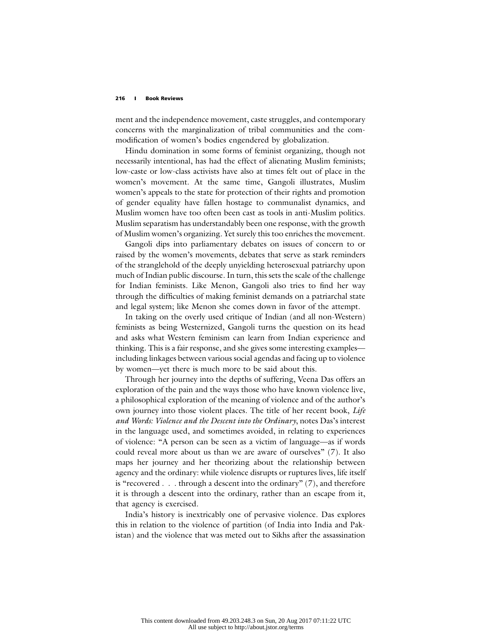## **216** ❙ **Book Reviews**

ment and the independence movement, caste struggles, and contemporary concerns with the marginalization of tribal communities and the commodification of women's bodies engendered by globalization.

Hindu domination in some forms of feminist organizing, though not necessarily intentional, has had the effect of alienating Muslim feminists; low-caste or low-class activists have also at times felt out of place in the women's movement. At the same time, Gangoli illustrates, Muslim women's appeals to the state for protection of their rights and promotion of gender equality have fallen hostage to communalist dynamics, and Muslim women have too often been cast as tools in anti-Muslim politics. Muslim separatism has understandably been one response, with the growth of Muslim women's organizing. Yet surely this too enriches the movement.

Gangoli dips into parliamentary debates on issues of concern to or raised by the women's movements, debates that serve as stark reminders of the stranglehold of the deeply unyielding heterosexual patriarchy upon much of Indian public discourse. In turn, this sets the scale of the challenge for Indian feminists. Like Menon, Gangoli also tries to find her way through the difficulties of making feminist demands on a patriarchal state and legal system; like Menon she comes down in favor of the attempt.

In taking on the overly used critique of Indian (and all non-Western) feminists as being Westernized, Gangoli turns the question on its head and asks what Western feminism can learn from Indian experience and thinking. This is a fair response, and she gives some interesting examples including linkages between various social agendas and facing up to violence by women—yet there is much more to be said about this.

Through her journey into the depths of suffering, Veena Das offers an exploration of the pain and the ways those who have known violence live, a philosophical exploration of the meaning of violence and of the author's own journey into those violent places. The title of her recent book, *Life and Words: Violence and the Descent into the Ordinary*, notes Das's interest in the language used, and sometimes avoided, in relating to experiences of violence: "A person can be seen as a victim of language—as if words could reveal more about us than we are aware of ourselves" (7). It also maps her journey and her theorizing about the relationship between agency and the ordinary: while violence disrupts or ruptures lives, life itself is "recovered . . . through a descent into the ordinary" (7), and therefore it is through a descent into the ordinary, rather than an escape from it, that agency is exercised.

India's history is inextricably one of pervasive violence. Das explores this in relation to the violence of partition (of India into India and Pakistan) and the violence that was meted out to Sikhs after the assassination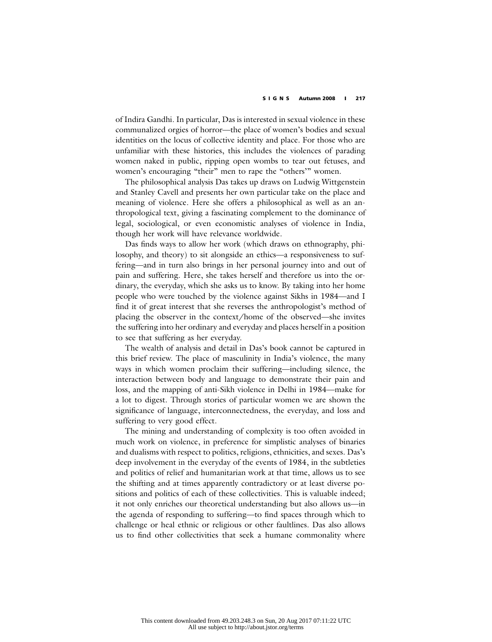of Indira Gandhi. In particular, Das is interested in sexual violence in these communalized orgies of horror—the place of women's bodies and sexual identities on the locus of collective identity and place. For those who are unfamiliar with these histories, this includes the violences of parading women naked in public, ripping open wombs to tear out fetuses, and women's encouraging "their" men to rape the "others'" women.

The philosophical analysis Das takes up draws on Ludwig Wittgenstein and Stanley Cavell and presents her own particular take on the place and meaning of violence. Here she offers a philosophical as well as an anthropological text, giving a fascinating complement to the dominance of legal, sociological, or even economistic analyses of violence in India, though her work will have relevance worldwide.

Das finds ways to allow her work (which draws on ethnography, philosophy, and theory) to sit alongside an ethics—a responsiveness to suffering—and in turn also brings in her personal journey into and out of pain and suffering. Here, she takes herself and therefore us into the ordinary, the everyday, which she asks us to know. By taking into her home people who were touched by the violence against Sikhs in 1984—and I find it of great interest that she reverses the anthropologist's method of placing the observer in the context/home of the observed—she invites the suffering into her ordinary and everyday and places herself in a position to see that suffering as her everyday.

The wealth of analysis and detail in Das's book cannot be captured in this brief review. The place of masculinity in India's violence, the many ways in which women proclaim their suffering—including silence, the interaction between body and language to demonstrate their pain and loss, and the mapping of anti-Sikh violence in Delhi in 1984—make for a lot to digest. Through stories of particular women we are shown the significance of language, interconnectedness, the everyday, and loss and suffering to very good effect.

The mining and understanding of complexity is too often avoided in much work on violence, in preference for simplistic analyses of binaries and dualisms with respect to politics, religions, ethnicities, and sexes. Das's deep involvement in the everyday of the events of 1984, in the subtleties and politics of relief and humanitarian work at that time, allows us to see the shifting and at times apparently contradictory or at least diverse positions and politics of each of these collectivities. This is valuable indeed; it not only enriches our theoretical understanding but also allows us—in the agenda of responding to suffering—to find spaces through which to challenge or heal ethnic or religious or other faultlines. Das also allows us to find other collectivities that seek a humane commonality where